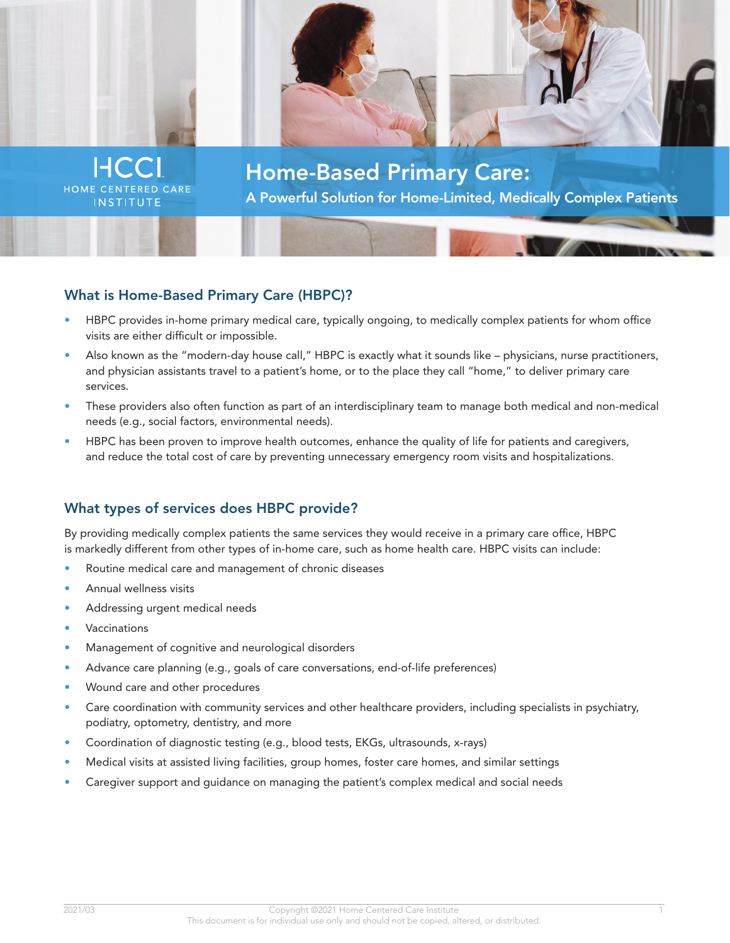

HOME **INSTITUTE** 

# Home-Based Primary Care: A Powerful Solution for Home-Limited, Medically Complex Patients

# What is Home-Based Primary Care (HBPC)?

- HBPC provides in-home primary medical care, typically ongoing, to medically complex patients for whom office visits are either difficult or impossible.
- Also known as the "modern-day house call," HBPC is exactly what it sounds like physicians, nurse practitioners, and physician assistants travel to a patient's home, or to the place they call "home," to deliver primary care services.
- These providers also often function as part of an interdisciplinary team to manage both medical and non-medical needs (e.g., social factors, environmental needs).
- HBPC has been proven to improve health outcomes, enhance the quality of life for patients and caregivers, and reduce the total cost of care by preventing unnecessary emergency room visits and hospitalizations.

#### What types of services does HBPC provide?

By providing medically complex patients the same services they would receive in a primary care office, HBPC is markedly different from other types of in-home care, such as home health care. HBPC visits can include:

- Routine medical care and management of chronic diseases
- Annual wellness visits
- Addressing urgent medical needs
- **Vaccinations**
- Management of cognitive and neurological disorders
- Advance care planning (e.g., goals of care conversations, end-of-life preferences)
- Wound care and other procedures
- Care coordination with community services and other healthcare providers, including specialists in psychiatry, podiatry, optometry, dentistry, and more
- Coordination of diagnostic testing (e.g., blood tests, EKGs, ultrasounds, x-rays)
- Medical visits at assisted living facilities, group homes, foster care homes, and similar settings
- Caregiver support and guidance on managing the patient's complex medical and social needs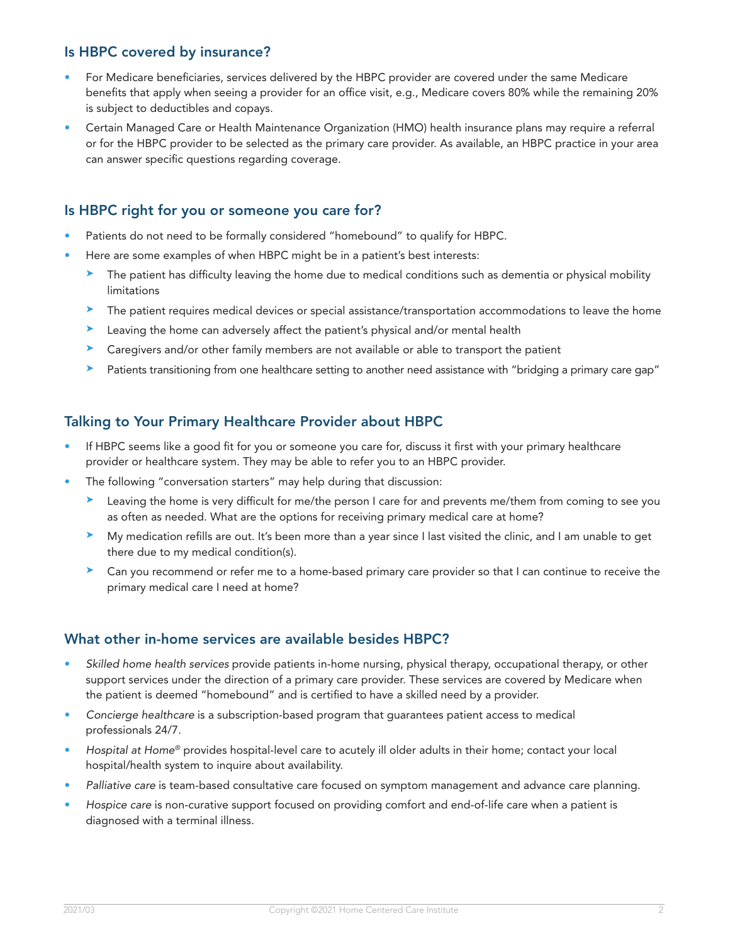### Is HBPC covered by insurance?

- For Medicare beneficiaries, services delivered by the HBPC provider are covered under the same Medicare benefits that apply when seeing a provider for an office visit, e.g., Medicare covers 80% while the remaining 20% is subject to deductibles and copays.
- Certain Managed Care or Health Maintenance Organization (HMO) health insurance plans may require a referral or for the HBPC provider to be selected as the primary care provider. As available, an HBPC practice in your area can answer specific questions regarding coverage.

### Is HBPC right for you or someone you care for?

- Patients do not need to be formally considered "homebound" to qualify for HBPC.
- Here are some examples of when HBPC might be in a patient's best interests:
	- ➤ The patient has difficulty leaving the home due to medical conditions such as dementia or physical mobility limitations
	- ➤ The patient requires medical devices or special assistance/transportation accommodations to leave the home
	- ➤ Leaving the home can adversely affect the patient's physical and/or mental health
	- ➤ Caregivers and/or other family members are not available or able to transport the patient
	- ➤ Patients transitioning from one healthcare setting to another need assistance with "bridging a primary care gap"

# Talking to Your Primary Healthcare Provider about HBPC

- If HBPC seems like a good fit for you or someone you care for, discuss it first with your primary healthcare provider or healthcare system. They may be able to refer you to an HBPC provider.
- The following "conversation starters" may help during that discussion:
	- ➤ Leaving the home is very difficult for me/the person I care for and prevents me/them from coming to see you as often as needed. What are the options for receiving primary medical care at home?
	- ➤ My medication refills are out. It's been more than a year since I last visited the clinic, and I am unable to get there due to my medical condition(s).
	- ➤ Can you recommend or refer me to a home-based primary care provider so that I can continue to receive the primary medical care I need at home?

#### What other in-home services are available besides HBPC?

- Skilled home health services provide patients in-home nursing, physical therapy, occupational therapy, or other support services under the direction of a primary care provider. These services are covered by Medicare when the patient is deemed "homebound" and is certified to have a skilled need by a provider.
- Concierge healthcare is a subscription-based program that guarantees patient access to medical professionals 24/7.
- [H](https://www.johnshopkinssolutions.com/solution/hospital-at-home/)ospital at Home[®](https://www.johnshopkinssolutions.com/solution/hospital-at-home/) provides hospital-level care to acutely ill older adults in their home; contact your local hospital/health system to inquire about availability.
- Palliative care is team-based consultative care focused on symptom management and advance care planning.
- Hospice care is non-curative support focused on providing comfort and end-of-life care when a patient is diagnosed with a terminal illness.